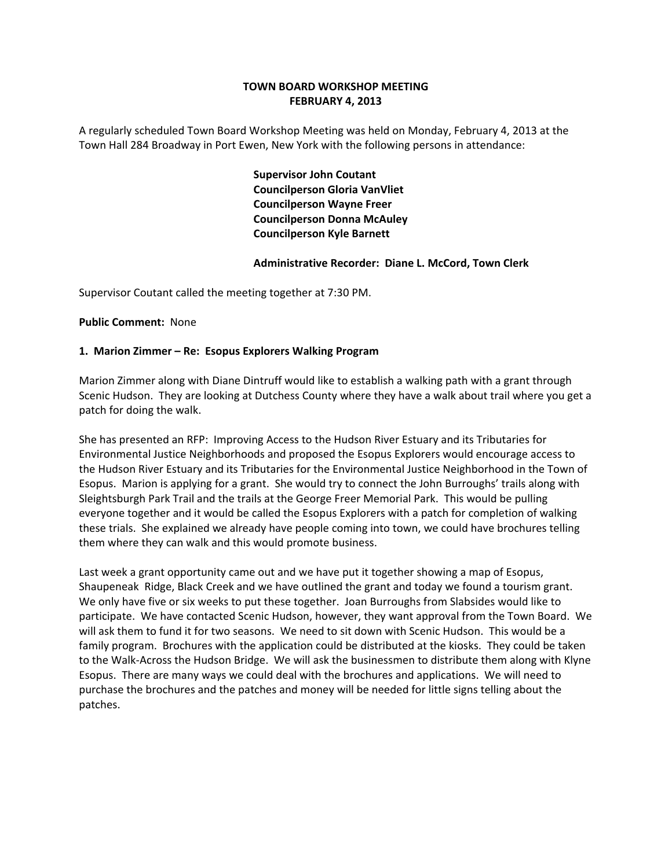# **TOWN BOARD WORKSHOP MEETING FEBRUARY 4, 2013**

A regularly scheduled Town Board Workshop Meeting was held on Monday, February 4, 2013 at the Town Hall 284 Broadway in Port Ewen, New York with the following persons in attendance:

> **Supervisor John Coutant Councilperson Gloria VanVliet Councilperson Wayne Freer Councilperson Donna McAuley Councilperson Kyle Barnett**

## **Administrative Recorder: Diane L. McCord, Town Clerk**

Supervisor Coutant called the meeting together at 7:30 PM.

#### **Public Comment: None**

## **1. Marion Zimmer – Re: Esopus Explorers Walking Program**

Marion Zimmer along with Diane Dintruff would like to establish a walking path with a grant through Scenic Hudson. They are looking at Dutchess County where they have a walk about trail where you get a patch for doing the walk.

She has presented an RFP: Improving Access to the Hudson River Estuary and its Tributaries for Environmental Justice Neighborhoods and proposed the Esopus Explorers would encourage access to the Hudson River Estuary and its Tributaries for the Environmental Justice Neighborhood in the Town of Esopus. Marion is applying for a grant. She would try to connect the John Burroughs' trails along with Sleightsburgh Park Trail and the trails at the George Freer Memorial Park. This would be pulling everyone together and it would be called the Esopus Explorers with a patch for completion of walking these trials. She explained we already have people coming into town, we could have brochures telling them where they can walk and this would promote business.

Last week a grant opportunity came out and we have put it together showing a map of Esopus, Shaupeneak Ridge, Black Creek and we have outlined the grant and today we found a tourism grant. We only have five or six weeks to put these together. Joan Burroughs from Slabsides would like to participate. We have contacted Scenic Hudson, however, they want approval from the Town Board. We will ask them to fund it for two seasons. We need to sit down with Scenic Hudson. This would be a family program. Brochures with the application could be distributed at the kiosks. They could be taken to the Walk‐Across the Hudson Bridge. We will ask the businessmen to distribute them along with Klyne Esopus. There are many ways we could deal with the brochures and applications. We will need to purchase the brochures and the patches and money will be needed for little signs telling about the patches.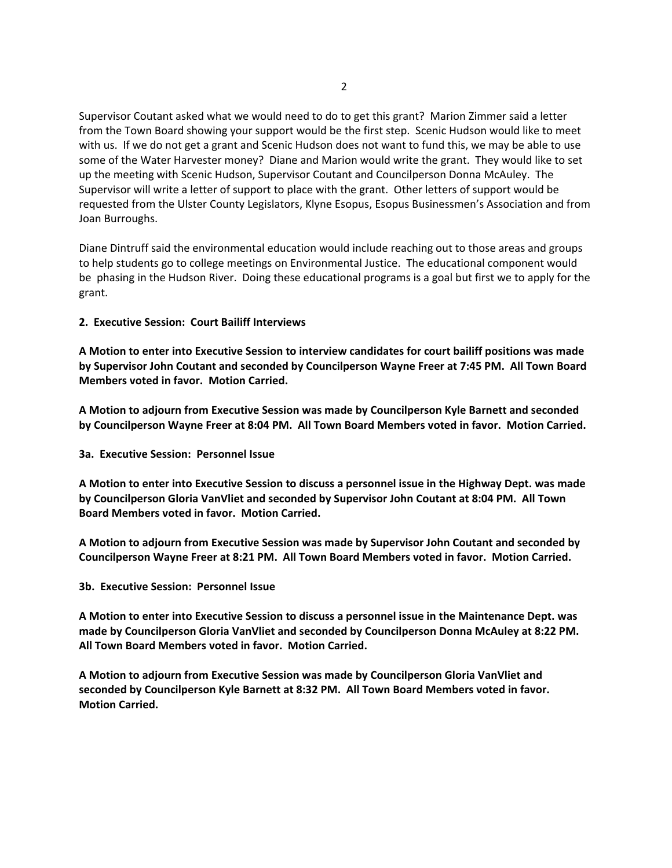Supervisor Coutant asked what we would need to do to get this grant? Marion Zimmer said a letter from the Town Board showing your support would be the first step. Scenic Hudson would like to meet with us. If we do not get a grant and Scenic Hudson does not want to fund this, we may be able to use some of the Water Harvester money? Diane and Marion would write the grant. They would like to set up the meeting with Scenic Hudson, Supervisor Coutant and Councilperson Donna McAuley. The Supervisor will write a letter of support to place with the grant. Other letters of support would be requested from the Ulster County Legislators, Klyne Esopus, Esopus Businessmen's Association and from Joan Burroughs.

Diane Dintruff said the environmental education would include reaching out to those areas and groups to help students go to college meetings on Environmental Justice. The educational component would be phasing in the Hudson River. Doing these educational programs is a goal but first we to apply for the grant.

## **2. Executive Session: Court Bailiff Interviews**

**A Motion to enter into Executive Session to interview candidates for court bailiff positions was made by Supervisor John Coutant and seconded by Councilperson Wayne Freer at 7:45 PM. All Town Board Members voted in favor. Motion Carried.**

**A Motion to adjourn from Executive Session was made by Councilperson Kyle Barnett and seconded by Councilperson Wayne Freer at 8:04 PM. All Town Board Members voted in favor. Motion Carried.**

**3a. Executive Session: Personnel Issue**

A Motion to enter into Executive Session to discuss a personnel issue in the Highway Dept. was made **by Councilperson Gloria VanVliet and seconded by Supervisor John Coutant at 8:04 PM. All Town Board Members voted in favor. Motion Carried.**

**A Motion to adjourn from Executive Session was made by Supervisor John Coutant and seconded by Councilperson Wayne Freer at 8:21 PM. All Town Board Members voted in favor. Motion Carried.**

**3b. Executive Session: Personnel Issue**

**A Motion to enter into Executive Session to discuss a personnel issue in the Maintenance Dept. was made by Councilperson Gloria VanVliet and seconded by Councilperson Donna McAuley at 8:22 PM. All Town Board Members voted in favor. Motion Carried.**

**A Motion to adjourn from Executive Session was made by Councilperson Gloria VanVliet and seconded by Councilperson Kyle Barnett at 8:32 PM. All Town Board Members voted in favor. Motion Carried.**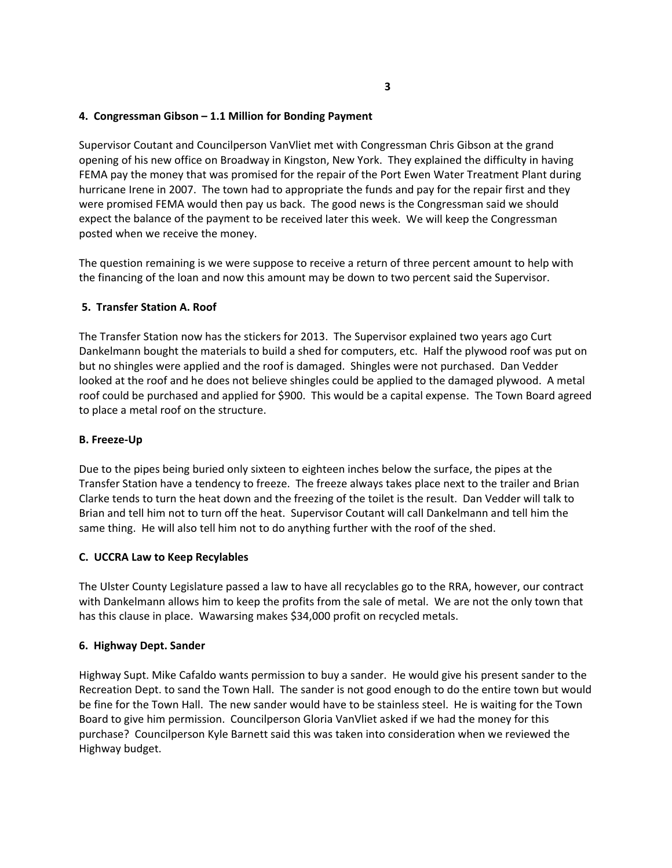## **4. Congressman Gibson – 1.1 Million for Bonding Payment**

Supervisor Coutant and Councilperson VanVliet met with Congressman Chris Gibson at the grand opening of his new office on Broadway in Kingston, New York. They explained the difficulty in having FEMA pay the money that was promised for the repair of the Port Ewen Water Treatment Plant during hurricane Irene in 2007. The town had to appropriate the funds and pay for the repair first and they were promised FEMA would then pay us back. The good news is the Congressman said we should expect the balance of the payment to be received later this week. We will keep the Congressman posted when we receive the money.

The question remaining is we were suppose to receive a return of three percent amount to help with the financing of the loan and now this amount may be down to two percent said the Supervisor.

## **5. Transfer Station A. Roof**

The Transfer Station now has the stickers for 2013. The Supervisor explained two years ago Curt Dankelmann bought the materials to build a shed for computers, etc. Half the plywood roof was put on but no shingles were applied and the roof is damaged. Shingles were not purchased. Dan Vedder looked at the roof and he does not believe shingles could be applied to the damaged plywood. A metal roof could be purchased and applied for \$900. This would be a capital expense. The Town Board agreed to place a metal roof on the structure.

#### **B. Freeze‐Up**

Due to the pipes being buried only sixteen to eighteen inches below the surface, the pipes at the Transfer Station have a tendency to freeze. The freeze always takes place next to the trailer and Brian Clarke tends to turn the heat down and the freezing of the toilet is the result. Dan Vedder will talk to Brian and tell him not to turn off the heat. Supervisor Coutant will call Dankelmann and tell him the same thing. He will also tell him not to do anything further with the roof of the shed.

#### **C. UCCRA Law to Keep Recylables**

The Ulster County Legislature passed a law to have all recyclables go to the RRA, however, our contract with Dankelmann allows him to keep the profits from the sale of metal. We are not the only town that has this clause in place. Wawarsing makes \$34,000 profit on recycled metals.

#### **6. Highway Dept. Sander**

Highway Supt. Mike Cafaldo wants permission to buy a sander. He would give his present sander to the Recreation Dept. to sand the Town Hall. The sander is not good enough to do the entire town but would be fine for the Town Hall. The new sander would have to be stainless steel. He is waiting for the Town Board to give him permission. Councilperson Gloria VanVliet asked if we had the money for this purchase? Councilperson Kyle Barnett said this was taken into consideration when we reviewed the Highway budget.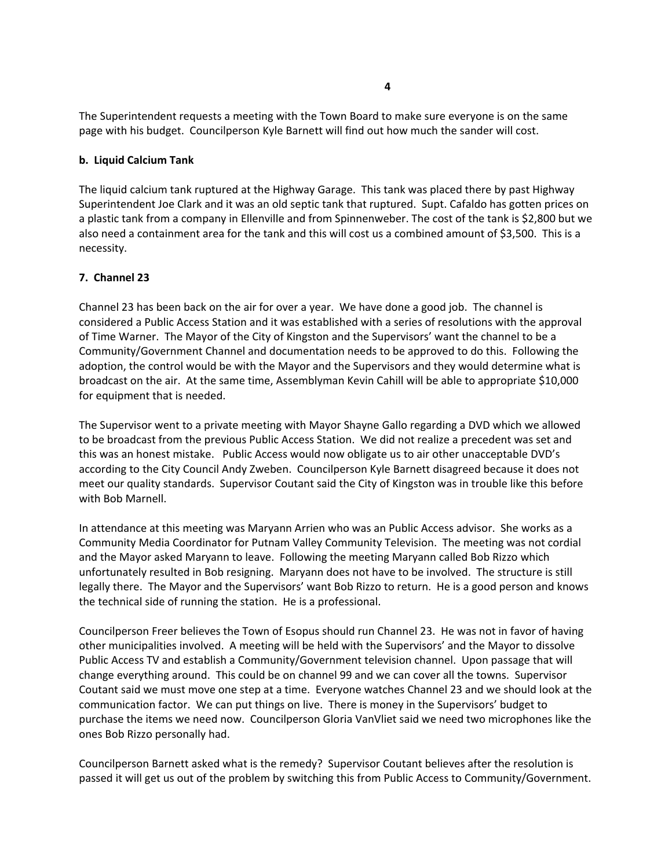The Superintendent requests a meeting with the Town Board to make sure everyone is on the same page with his budget. Councilperson Kyle Barnett will find out how much the sander will cost.

## **b. Liquid Calcium Tank**

The liquid calcium tank ruptured at the Highway Garage. This tank was placed there by past Highway Superintendent Joe Clark and it was an old septic tank that ruptured. Supt. Cafaldo has gotten prices on a plastic tank from a company in Ellenville and from Spinnenweber. The cost of the tank is \$2,800 but we also need a containment area for the tank and this will cost us a combined amount of \$3,500. This is a necessity.

## **7. Channel 23**

Channel 23 has been back on the air for over a year. We have done a good job. The channel is considered a Public Access Station and it was established with a series of resolutions with the approval of Time Warner. The Mayor of the City of Kingston and the Supervisors' want the channel to be a Community/Government Channel and documentation needs to be approved to do this. Following the adoption, the control would be with the Mayor and the Supervisors and they would determine what is broadcast on the air. At the same time, Assemblyman Kevin Cahill will be able to appropriate \$10,000 for equipment that is needed.

The Supervisor went to a private meeting with Mayor Shayne Gallo regarding a DVD which we allowed to be broadcast from the previous Public Access Station. We did not realize a precedent was set and this was an honest mistake. Public Access would now obligate us to air other unacceptable DVD's according to the City Council Andy Zweben. Councilperson Kyle Barnett disagreed because it does not meet our quality standards. Supervisor Coutant said the City of Kingston was in trouble like this before with Bob Marnell.

In attendance at this meeting was Maryann Arrien who was an Public Access advisor. She works as a Community Media Coordinator for Putnam Valley Community Television. The meeting was not cordial and the Mayor asked Maryann to leave. Following the meeting Maryann called Bob Rizzo which unfortunately resulted in Bob resigning. Maryann does not have to be involved. The structure is still legally there. The Mayor and the Supervisors' want Bob Rizzo to return. He is a good person and knows the technical side of running the station. He is a professional.

Councilperson Freer believes the Town of Esopus should run Channel 23. He was not in favor of having other municipalities involved. A meeting will be held with the Supervisors' and the Mayor to dissolve Public Access TV and establish a Community/Government television channel. Upon passage that will change everything around. This could be on channel 99 and we can cover all the towns. Supervisor Coutant said we must move one step at a time. Everyone watches Channel 23 and we should look at the communication factor. We can put things on live. There is money in the Supervisors' budget to purchase the items we need now. Councilperson Gloria VanVliet said we need two microphones like the ones Bob Rizzo personally had.

Councilperson Barnett asked what is the remedy? Supervisor Coutant believes after the resolution is passed it will get us out of the problem by switching this from Public Access to Community/Government.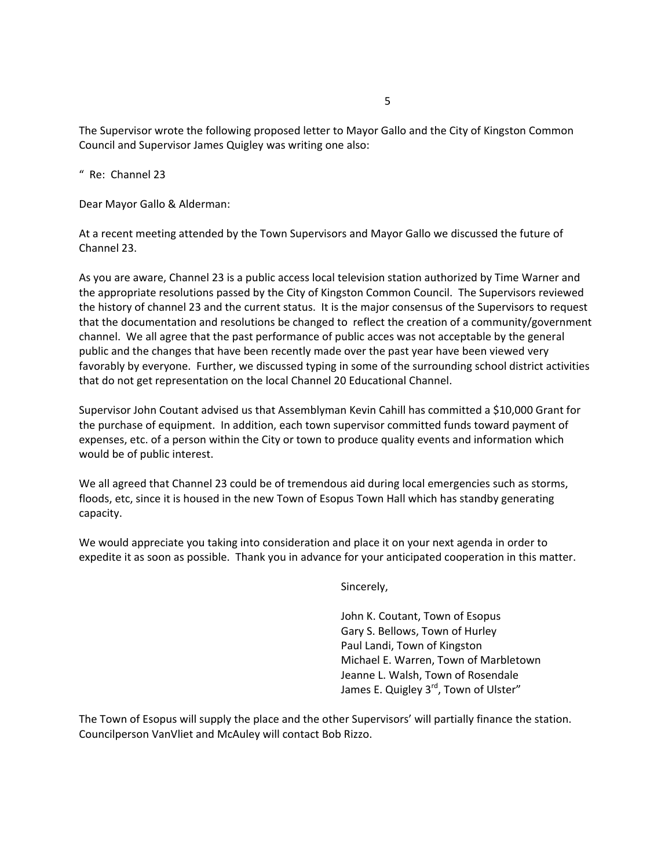The Supervisor wrote the following proposed letter to Mayor Gallo and the City of Kingston Common Council and Supervisor James Quigley was writing one also:

" Re: Channel 23

Dear Mayor Gallo & Alderman:

At a recent meeting attended by the Town Supervisors and Mayor Gallo we discussed the future of Channel 23.

As you are aware, Channel 23 is a public access local television station authorized by Time Warner and the appropriate resolutions passed by the City of Kingston Common Council. The Supervisors reviewed the history of channel 23 and the current status. It is the major consensus of the Supervisors to request that the documentation and resolutions be changed to reflect the creation of a community/government channel. We all agree that the past performance of public acces was not acceptable by the general public and the changes that have been recently made over the past year have been viewed very favorably by everyone. Further, we discussed typing in some of the surrounding school district activities that do not get representation on the local Channel 20 Educational Channel.

Supervisor John Coutant advised us that Assemblyman Kevin Cahill has committed a \$10,000 Grant for the purchase of equipment. In addition, each town supervisor committed funds toward payment of expenses, etc. of a person within the City or town to produce quality events and information which would be of public interest.

We all agreed that Channel 23 could be of tremendous aid during local emergencies such as storms, floods, etc, since it is housed in the new Town of Esopus Town Hall which has standby generating capacity.

We would appreciate you taking into consideration and place it on your next agenda in order to expedite it as soon as possible. Thank you in advance for your anticipated cooperation in this matter.

Sincerely,

 John K. Coutant, Town of Esopus Gary S. Bellows, Town of Hurley Paul Landi, Town of Kingston Michael E. Warren, Town of Marbletown Jeanne L. Walsh, Town of Rosendale James E. Quigley 3<sup>rd</sup>, Town of Ulster"

The Town of Esopus will supply the place and the other Supervisors' will partially finance the station. Councilperson VanVliet and McAuley will contact Bob Rizzo.